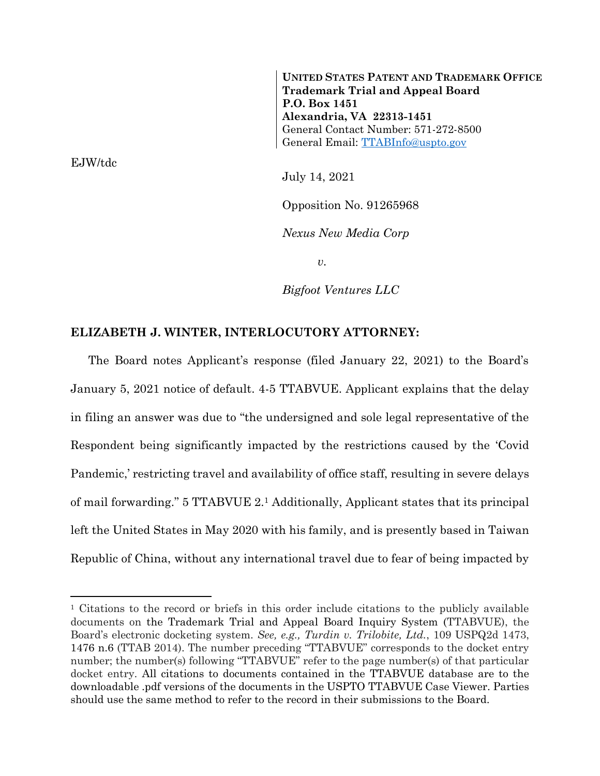**UNITED STATES PATENT AND TRADEMARK OFFICE Trademark Trial and Appeal Board P.O. Box 1451 Alexandria, VA 22313-1451** General Contact Number: 571-272-8500 General Email: [TTABInfo@uspto.gov](mailto:TTABInfo@uspto.gov)

EJW/tdc

 $\overline{a}$ 

July 14, 2021

Opposition No. 91265968

*Nexus New Media Corp*

*v.*

*Bigfoot Ventures LLC*

#### **ELIZABETH J. WINTER, INTERLOCUTORY ATTORNEY:**

The Board notes Applicant's response (filed January 22, 2021) to the Board's January 5, 2021 notice of default. 4-5 TTABVUE. Applicant explains that the delay in filing an answer was due to "the undersigned and sole legal representative of the Respondent being significantly impacted by the restrictions caused by the 'Covid Pandemic,' restricting travel and availability of office staff, resulting in severe delays of mail forwarding." 5 TTABVUE 2.<sup>1</sup> Additionally, Applicant states that its principal left the United States in May 2020 with his family, and is presently based in Taiwan Republic of China, without any international travel due to fear of being impacted by

<sup>&</sup>lt;sup>1</sup> Citations to the record or briefs in this order include citations to the publicly available documents on the Trademark Trial and Appeal Board Inquiry System (TTABVUE), the Board's electronic docketing system. *See, e.g., Turdin v. Trilobite, Ltd.*, 109 USPQ2d 1473, 1476 n.6 (TTAB 2014). The number preceding "TTABVUE" corresponds to the docket entry number; the number(s) following "TTABVUE" refer to the page number(s) of that particular docket entry. All citations to documents contained in the TTABVUE database are to the downloadable .pdf versions of the documents in the USPTO TTABVUE Case Viewer. Parties should use the same method to refer to the record in their submissions to the Board.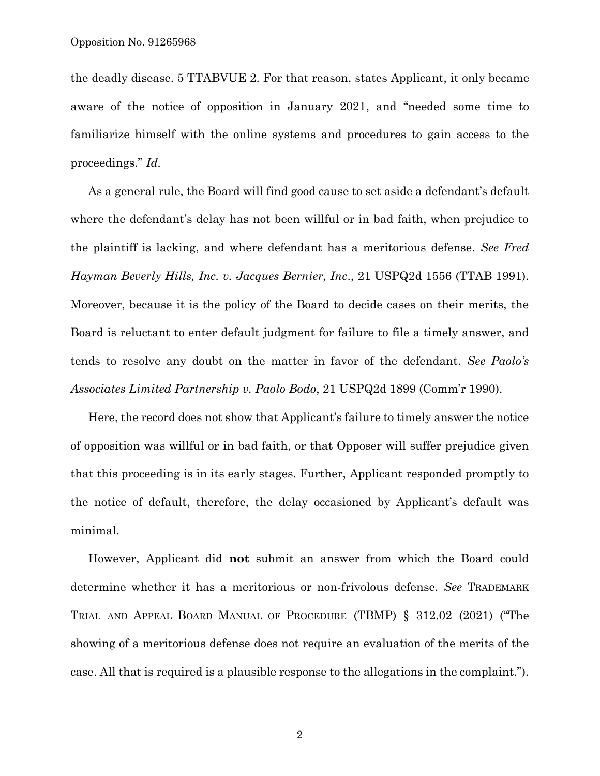the deadly disease. 5 TTABVUE 2. For that reason, states Applicant, it only became aware of the notice of opposition in January 2021, and "needed some time to familiarize himself with the online systems and procedures to gain access to the proceedings." *Id.*

As a general rule, the Board will find good cause to set aside a defendant's default where the defendant's delay has not been willful or in bad faith, when prejudice to the plaintiff is lacking, and where defendant has a meritorious defense. *See Fred Hayman Beverly Hills, Inc. v. Jacques Bernier, Inc*., 21 USPQ2d 1556 (TTAB 1991). Moreover, because it is the policy of the Board to decide cases on their merits, the Board is reluctant to enter default judgment for failure to file a timely answer, and tends to resolve any doubt on the matter in favor of the defendant. *See Paolo's Associates Limited Partnership v. Paolo Bodo*, 21 USPQ2d 1899 (Comm'r 1990).

Here, the record does not show that Applicant's failure to timely answer the notice of opposition was willful or in bad faith, or that Opposer will suffer prejudice given that this proceeding is in its early stages. Further, Applicant responded promptly to the notice of default, therefore, the delay occasioned by Applicant's default was minimal.

However, Applicant did **not** submit an answer from which the Board could determine whether it has a meritorious or non-frivolous defense. *See* TRADEMARK TRIAL AND APPEAL BOARD MANUAL OF PROCEDURE (TBMP) § 312.02 (2021) ("The showing of a meritorious defense does not require an evaluation of the merits of the case. All that is required is a plausible response to the allegations in the complaint.").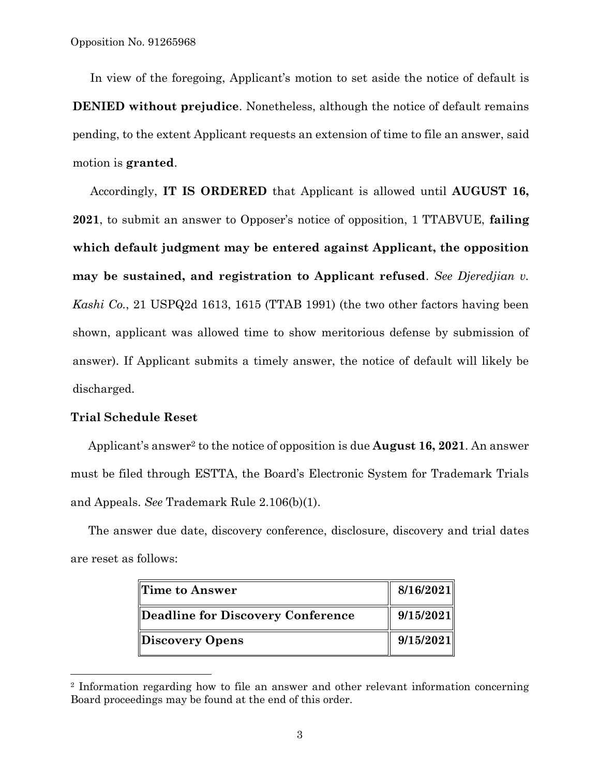In view of the foregoing, Applicant's motion to set aside the notice of default is **DENIED without prejudice**. Nonetheless, although the notice of default remains pending, to the extent Applicant requests an extension of time to file an answer, said motion is **granted**.

Accordingly, **IT IS ORDERED** that Applicant is allowed until **AUGUST 16, 2021**, to submit an answer to Opposer's notice of opposition, 1 TTABVUE, **failing which default judgment may be entered against Applicant, the opposition may be sustained, and registration to Applicant refused**. *See Djeredjian v. Kashi Co.*, 21 USPQ2d 1613, 1615 (TTAB 1991) (the two other factors having been shown, applicant was allowed time to show meritorious defense by submission of answer). If Applicant submits a timely answer, the notice of default will likely be discharged.

## **Trial Schedule Reset**

l

Applicant's answer<sup>2</sup> to the notice of opposition is due **August 16, 2021**. An answer must be filed through ESTTA, the Board's Electronic System for Trademark Trials and Appeals. *See* Trademark Rule 2.106(b)(1).

The answer due date, discovery conference, disclosure, discovery and trial dates are reset as follows:

| Time to Answer                    | 8/16/2021 |
|-----------------------------------|-----------|
| Deadline for Discovery Conference | 9/15/2021 |
| Discovery Opens                   | 9/15/2021 |

<sup>2</sup> Information regarding how to file an answer and other relevant information concerning Board proceedings may be found at the end of this order.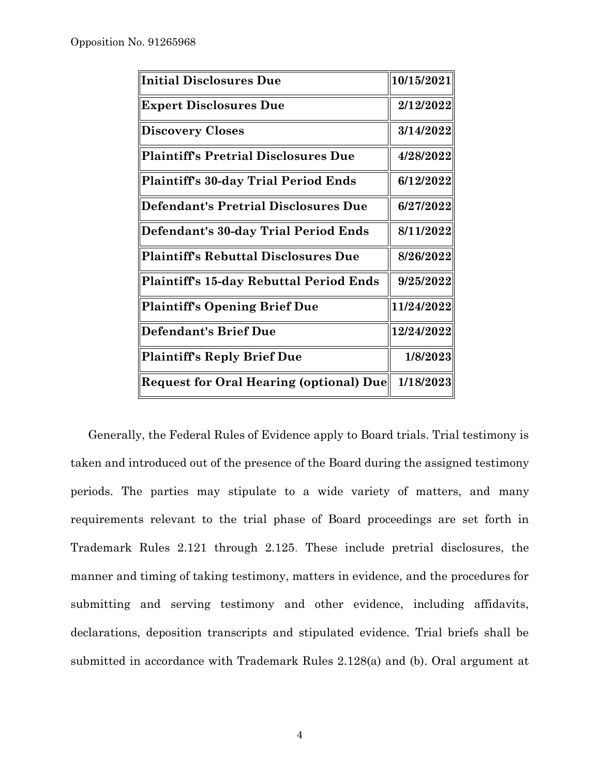| Initial Disclosures Due                 | 10/15/2021 |
|-----------------------------------------|------------|
| <b>Expert Disclosures Due</b>           | 2/12/2022  |
| Discovery Closes                        | 3/14/2022  |
| Plaintiff's Pretrial Disclosures Due    | 4/28/2022  |
| Plaintiff's 30-day Trial Period Ends    | 6/12/2022  |
| Defendant's Pretrial Disclosures Due    | 6/27/2022  |
| Defendant's 30-day Trial Period Ends    | 8/11/2022  |
| Plaintiff's Rebuttal Disclosures Due    | 8/26/2022  |
| Plaintiff's 15-day Rebuttal Period Ends | 9/25/2022  |
| Plaintiff's Opening Brief Due           | 11/24/2022 |
| Defendant's Brief Due                   | 12/24/2022 |
| Plaintiff's Reply Brief Due             | 1/8/2023   |
| Request for Oral Hearing (optional) Due | 1/18/2023  |

Generally, the Federal Rules of Evidence apply to Board trials. Trial testimony is taken and introduced out of the presence of the Board during the assigned testimony periods. The parties may stipulate to a wide variety of matters, and many requirements relevant to the trial phase of Board proceedings are set forth in Trademark Rules 2.121 through 2.125. These include pretrial disclosures, the manner and timing of taking testimony, matters in evidence, and the procedures for submitting and serving testimony and other evidence, including affidavits, declarations, deposition transcripts and stipulated evidence. Trial briefs shall be submitted in accordance with Trademark Rules 2.128(a) and (b). Oral argument at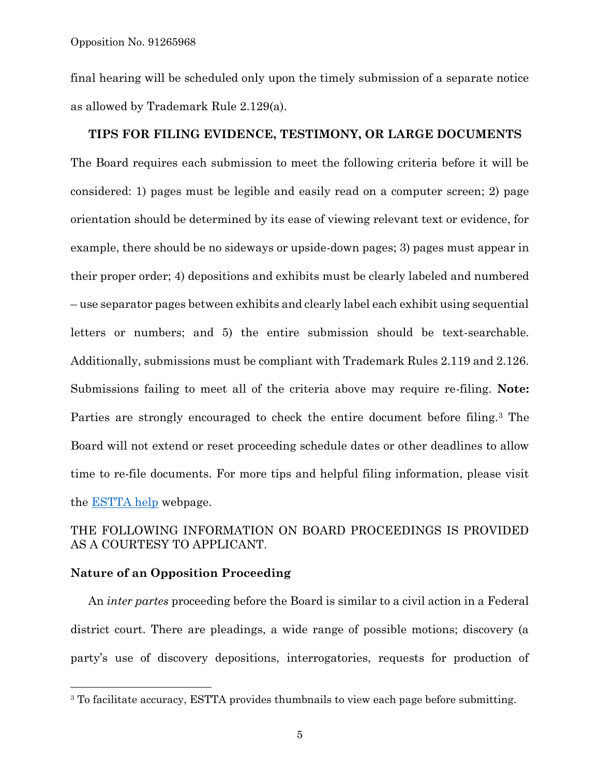final hearing will be scheduled only upon the timely submission of a separate notice as allowed by Trademark Rule 2.129(a).

#### **TIPS FOR FILING EVIDENCE, TESTIMONY, OR LARGE DOCUMENTS**

The Board requires each submission to meet the following criteria before it will be considered: 1) pages must be legible and easily read on a computer screen; 2) page orientation should be determined by its ease of viewing relevant text or evidence, for example, there should be no sideways or upside-down pages; 3) pages must appear in their proper order; 4) depositions and exhibits must be clearly labeled and numbered – use separator pages between exhibits and clearly label each exhibit using sequential letters or numbers; and 5) the entire submission should be text-searchable. Additionally, submissions must be compliant with Trademark Rules 2.119 and 2.126. Submissions failing to meet all of the criteria above may require re-filing. **Note:** Parties are strongly encouraged to check the entire document before filing.<sup>3</sup> The Board will not extend or reset proceeding schedule dates or other deadlines to allow time to re-file documents. For more tips and helpful filing information, please visit the [ESTTA help](https://www.uspto.gov/trademarks-application-process/trademark-trial-and-appeal-board/estta-help) webpage.

## THE FOLLOWING INFORMATION ON BOARD PROCEEDINGS IS PROVIDED AS A COURTESY TO APPLICANT.

## **Nature of an Opposition Proceeding**

 $\overline{a}$ 

An *inter partes* proceeding before the Board is similar to a civil action in a Federal district court. There are pleadings, a wide range of possible motions; discovery (a party's use of discovery depositions, interrogatories, requests for production of

<sup>&</sup>lt;sup>3</sup> To facilitate accuracy, ESTTA provides thumbnails to view each page before submitting.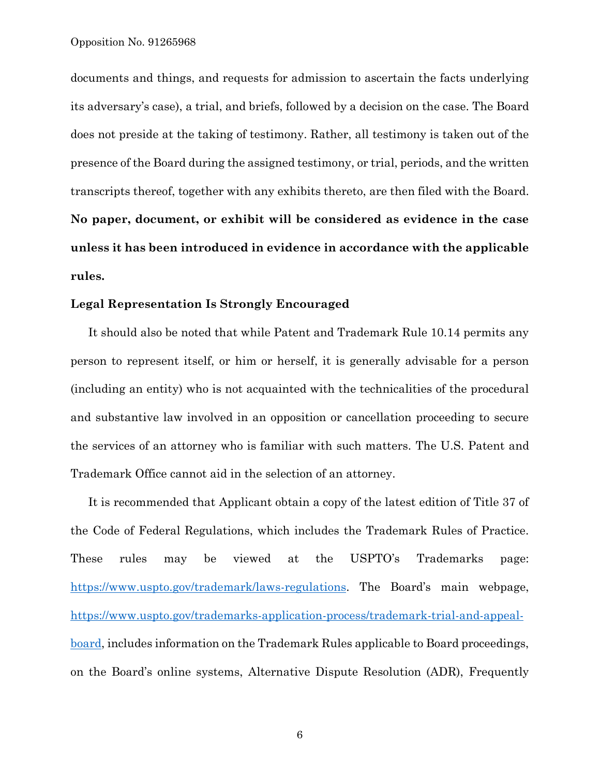documents and things, and requests for admission to ascertain the facts underlying its adversary's case), a trial, and briefs, followed by a decision on the case. The Board does not preside at the taking of testimony. Rather, all testimony is taken out of the presence of the Board during the assigned testimony, or trial, periods, and the written transcripts thereof, together with any exhibits thereto, are then filed with the Board. **No paper, document, or exhibit will be considered as evidence in the case unless it has been introduced in evidence in accordance with the applicable rules.**

#### **Legal Representation Is Strongly Encouraged**

It should also be noted that while Patent and Trademark Rule 10.14 permits any person to represent itself, or him or herself, it is generally advisable for a person (including an entity) who is not acquainted with the technicalities of the procedural and substantive law involved in an opposition or cancellation proceeding to secure the services of an attorney who is familiar with such matters. The U.S. Patent and Trademark Office cannot aid in the selection of an attorney.

It is recommended that Applicant obtain a copy of the latest edition of Title 37 of the Code of Federal Regulations, which includes the Trademark Rules of Practice. These rules may be viewed at the USPTO's Trademarks page: [https://www.uspto.gov/trademark/laws-regulations.](https://www.uspto.gov/trademark/laws-regulations) The Board's main webpage, [https://www.uspto.gov/trademarks-application-process/trademark-trial-and-appeal](https://www.uspto.gov/trademarks-application-process/trademark-trial-and-appeal-board)[board,](https://www.uspto.gov/trademarks-application-process/trademark-trial-and-appeal-board) includes information on the Trademark Rules applicable to Board proceedings, on the Board's online systems, Alternative Dispute Resolution (ADR), Frequently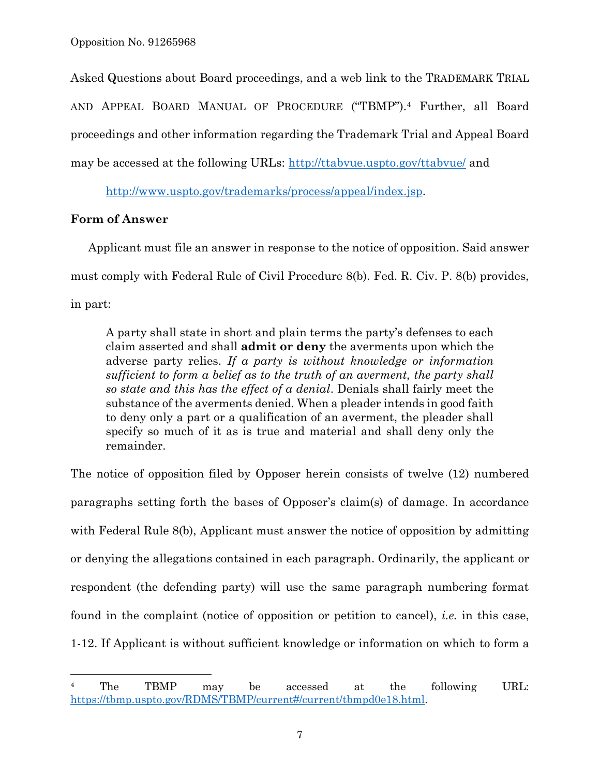Asked Questions about Board proceedings, and a web link to the TRADEMARK TRIAL AND APPEAL BOARD MANUAL OF PROCEDURE ("TBMP").<sup>4</sup> Further, all Board proceedings and other information regarding the Trademark Trial and Appeal Board may be accessed at the following URLs:<http://ttabvue.uspto.gov/ttabvue/> and

[http://www.uspto.gov/trademarks/process/appeal/index.jsp.](http://www.uspto.gov/trademarks/process/appeal/index.jsp)

# **Form of Answer**

l

Applicant must file an answer in response to the notice of opposition. Said answer must comply with Federal Rule of Civil Procedure 8(b). Fed. R. Civ. P. 8(b) provides, in part:

A party shall state in short and plain terms the party's defenses to each claim asserted and shall **admit or deny** the averments upon which the adverse party relies. *If a party is without knowledge or information sufficient to form a belief as to the truth of an averment, the party shall so state and this has the effect of a denial*. Denials shall fairly meet the substance of the averments denied. When a pleader intends in good faith to deny only a part or a qualification of an averment, the pleader shall specify so much of it as is true and material and shall deny only the remainder.

The notice of opposition filed by Opposer herein consists of twelve (12) numbered paragraphs setting forth the bases of Opposer's claim(s) of damage. In accordance with Federal Rule 8(b), Applicant must answer the notice of opposition by admitting or denying the allegations contained in each paragraph. Ordinarily, the applicant or respondent (the defending party) will use the same paragraph numbering format found in the complaint (notice of opposition or petition to cancel), *i.e.* in this case, 1-12. If Applicant is without sufficient knowledge or information on which to form a

<sup>&</sup>lt;sup>4</sup> The TBMP may be accessed at the following URL: [https://tbmp.uspto.gov/RDMS/TBMP/current#/current/tbmpd0e18.html.](https://tbmp.uspto.gov/RDMS/TBMP/current#/current/tbmpd0e18.html)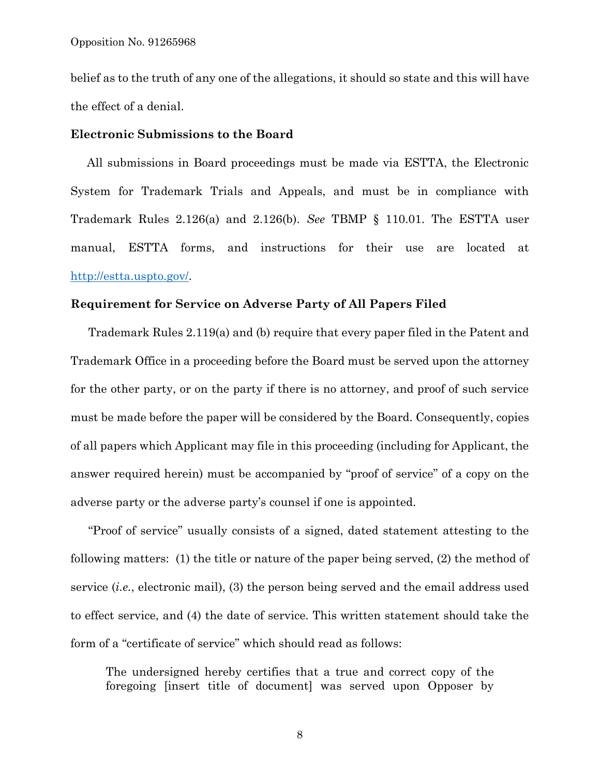belief as to the truth of any one of the allegations, it should so state and this will have the effect of a denial.

#### **Electronic Submissions to the Board**

 All submissions in Board proceedings must be made via ESTTA, the Electronic System for Trademark Trials and Appeals, and must be in compliance with Trademark Rules 2.126(a) and 2.126(b). *See* TBMP § 110.01. The ESTTA user manual, ESTTA forms, and instructions for their use are located at [http://estta.uspto.gov/.](http://estta.uspto.gov/)

#### **Requirement for Service on Adverse Party of All Papers Filed**

Trademark Rules 2.119(a) and (b) require that every paper filed in the Patent and Trademark Office in a proceeding before the Board must be served upon the attorney for the other party, or on the party if there is no attorney, and proof of such service must be made before the paper will be considered by the Board. Consequently, copies of all papers which Applicant may file in this proceeding (including for Applicant, the answer required herein) must be accompanied by "proof of service" of a copy on the adverse party or the adverse party's counsel if one is appointed.

"Proof of service" usually consists of a signed, dated statement attesting to the following matters: (1) the title or nature of the paper being served, (2) the method of service (*i.e.*, electronic mail), (3) the person being served and the email address used to effect service, and (4) the date of service. This written statement should take the form of a "certificate of service" which should read as follows:

The undersigned hereby certifies that a true and correct copy of the foregoing [insert title of document] was served upon Opposer by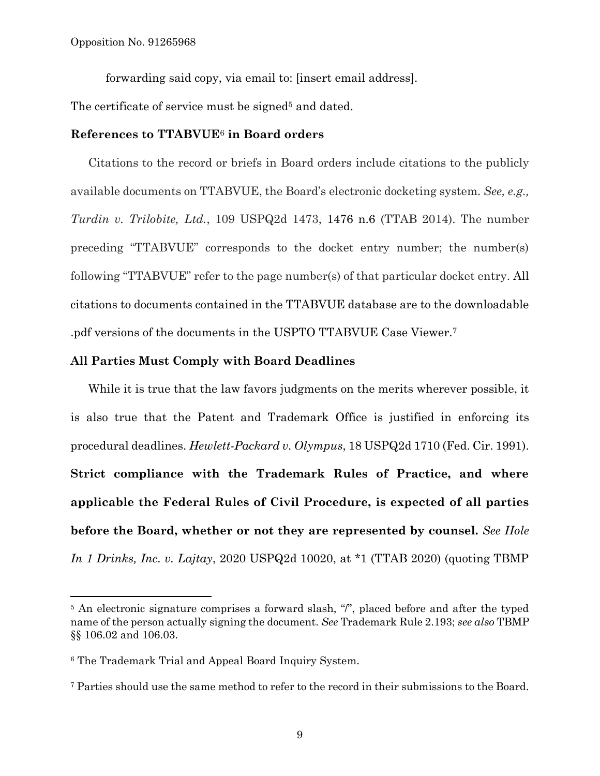forwarding said copy, via email to: [insert email address].

The certificate of service must be signed<sup>5</sup> and dated.

#### **References to TTABVUE**<sup>6</sup> **in Board orders**

Citations to the record or briefs in Board orders include citations to the publicly available documents on TTABVUE, the Board's electronic docketing system. *See, e.g., Turdin v. Trilobite, Ltd.*, 109 USPQ2d 1473, 1476 n.6 (TTAB 2014). The number preceding "TTABVUE" corresponds to the docket entry number; the number(s) following "TTABVUE" refer to the page number(s) of that particular docket entry. All citations to documents contained in the TTABVUE database are to the downloadable .pdf versions of the documents in the USPTO TTABVUE Case Viewer.<sup>7</sup>

## **All Parties Must Comply with Board Deadlines**

While it is true that the law favors judgments on the merits wherever possible, it is also true that the Patent and Trademark Office is justified in enforcing its procedural deadlines. *Hewlett-Packard v. Olympus*, 18 USPQ2d 1710 (Fed. Cir. 1991). **Strict compliance with the Trademark Rules of Practice, and where applicable the Federal Rules of Civil Procedure, is expected of all parties before the Board, whether or not they are represented by counsel.** *See Hole In 1 Drinks, Inc. v. Lajtay*, 2020 USPQ2d 10020, at \*1 (TTAB 2020) (quoting TBMP

 $\overline{a}$ 

<sup>&</sup>lt;sup>5</sup> An electronic signature comprises a forward slash, "*i*", placed before and after the typed name of the person actually signing the document. *See* Trademark Rule 2.193; *see also* TBMP §§ 106.02 and 106.03.

<sup>6</sup> The Trademark Trial and Appeal Board Inquiry System.

<sup>7</sup> Parties should use the same method to refer to the record in their submissions to the Board.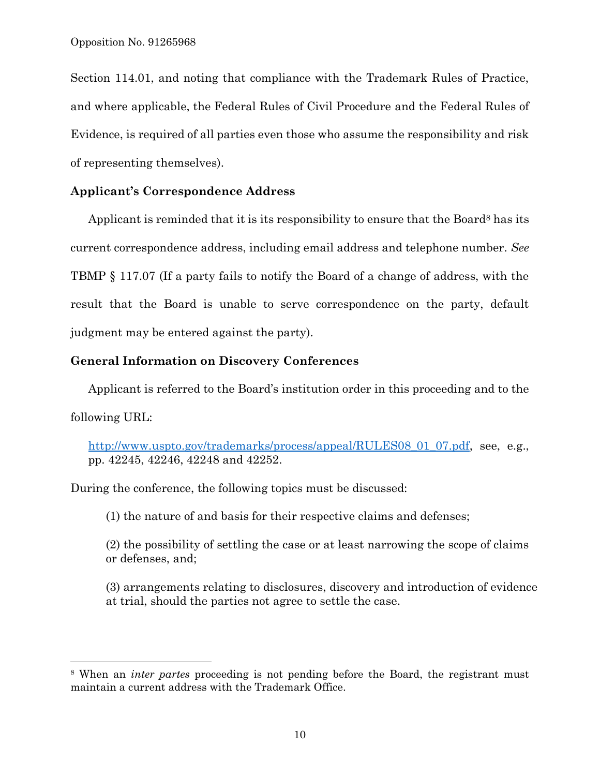l

Section 114.01, and noting that compliance with the Trademark Rules of Practice, and where applicable, the Federal Rules of Civil Procedure and the Federal Rules of Evidence, is required of all parties even those who assume the responsibility and risk of representing themselves).

## **Applicant's Correspondence Address**

Applicant is reminded that it is its responsibility to ensure that the Board<sup>8</sup> has its current correspondence address, including email address and telephone number. *See*  TBMP § 117.07 (If a party fails to notify the Board of a change of address, with the result that the Board is unable to serve correspondence on the party, default judgment may be entered against the party).

## **General Information on Discovery Conferences**

Applicant is referred to the Board's institution order in this proceeding and to the following URL:

[http://www.uspto.gov/trademarks/process/appeal/RULES08\\_01\\_07.pdf,](http://www.uspto.gov/trademarks/process/appeal/RULES08_01_07.pdf) see, e.g., pp. 42245, 42246, 42248 and 42252.

During the conference, the following topics must be discussed:

(1) the nature of and basis for their respective claims and defenses;

(2) the possibility of settling the case or at least narrowing the scope of claims or defenses, and;

(3) arrangements relating to disclosures, discovery and introduction of evidence at trial, should the parties not agree to settle the case.

<sup>8</sup> When an *inter partes* proceeding is not pending before the Board, the registrant must maintain a current address with the Trademark Office.